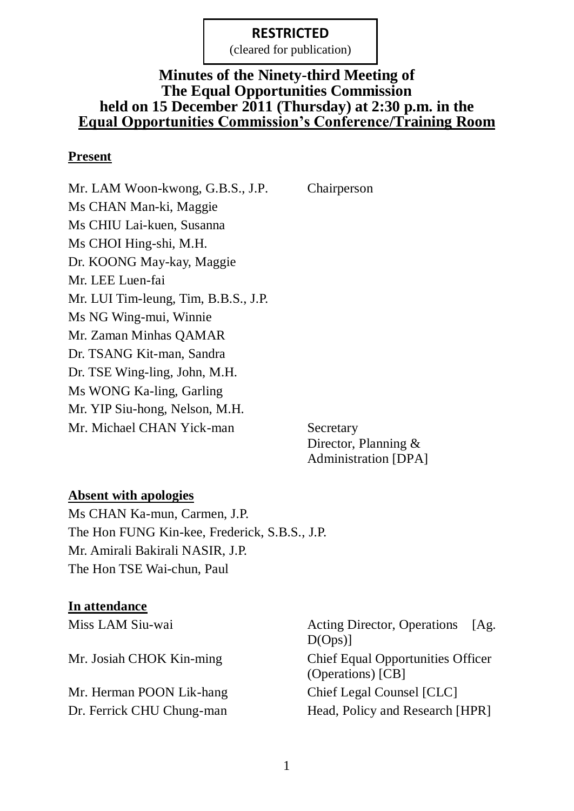(cleared for publication)

## **Minutes of the Ninety-third Meeting of The Equal Opportunities Commission held on 15 December 2011 (Thursday) at 2:30 p.m. in the Equal Opportunities Commission's Conference/Training Room**

#### **Present**

Mr. LAM Woon-kwong, G.B.S., J.P. Chairperson Ms CHAN Man-ki, Maggie Ms CHIU Lai-kuen, Susanna Ms CHOI Hing-shi, M.H. Dr. KOONG May-kay, Maggie Mr. LEE Luen-fai Mr. LUI Tim-leung, Tim, B.B.S., J.P. Ms NG Wing-mui, Winnie Mr. Zaman Minhas QAMAR Dr. TSANG Kit-man, Sandra Dr. TSE Wing-ling, John, M.H. Ms WONG Ka-ling, Garling Mr. YIP Siu-hong, Nelson, M.H. Mr. Michael CHAN Yick-man Secretary

Director, Planning & Administration [DPA]

#### **Absent with apologies**

Ms CHAN Ka-mun, Carmen, J.P. The Hon FUNG Kin-kee, Frederick, S.B.S., J.P. Mr. Amirali Bakirali NASIR, J.P. The Hon TSE Wai-chun, Paul

#### **In attendance**

Mr. Herman POON Lik-hang Chief Legal Counsel [CLC]

Miss LAM Siu-wai **Acting Director**, Operations [Ag.  $D(Ops)$ ] Mr. Josiah CHOK Kin-ming Chief Equal Opportunities Officer (Operations) [CB] Dr. Ferrick CHU Chung-man Head, Policy and Research [HPR]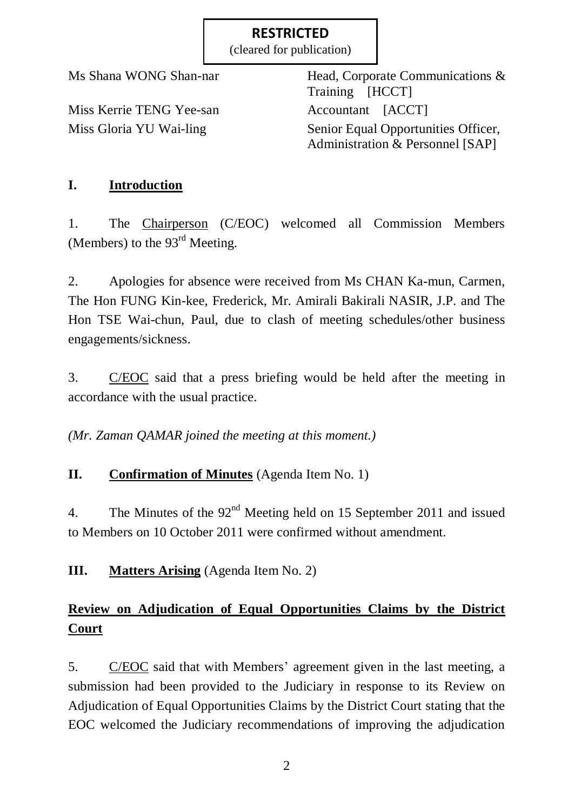(cleared for publication)

Miss Kerrie TENG Yee-san Accountant [ACCT]

Ms Shana WONG Shan-nar Head, Corporate Communications & Training [HCCT] Miss Gloria YU Wai-ling Senior Equal Opportunities Officer, Administration & Personnel [SAP]

# **I. Introduction**

1. The Chairperson (C/EOC) welcomed all Commission Members (Members) to the 93<sup>rd</sup> Meeting.

2. Apologies for absence were received from Ms CHAN Ka-mun, Carmen, The Hon FUNG Kin-kee, Frederick, Mr. Amirali Bakirali NASIR, J.P. and The Hon TSE Wai-chun, Paul, due to clash of meeting schedules/other business engagements/sickness.

3. C/EOC said that a press briefing would be held after the meeting in accordance with the usual practice.

*(Mr. Zaman QAMAR joined the meeting at this moment.)*

# **II. Confirmation of Minutes** (Agenda Item No. 1)

4. The Minutes of the 92<sup>nd</sup> Meeting held on 15 September 2011 and issued to Members on 10 October 2011 were confirmed without amendment.

**III. Matters Arising** (Agenda Item No. 2)

# **Review on Adjudication of Equal Opportunities Claims by the District Court**

5. C/EOC said that with Members' agreement given in the last meeting, a submission had been provided to the Judiciary in response to its Review on Adjudication of Equal Opportunities Claims by the District Court stating that the EOC welcomed the Judiciary recommendations of improving the adjudication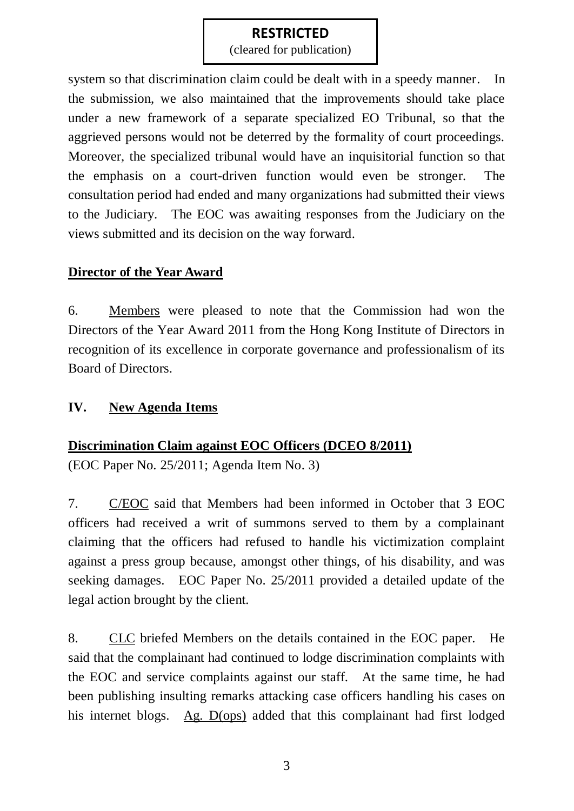(cleared for publication)

system so that discrimination claim could be dealt with in a speedy manner. In the submission, we also maintained that the improvements should take place under a new framework of a separate specialized EO Tribunal, so that the aggrieved persons would not be deterred by the formality of court proceedings. Moreover, the specialized tribunal would have an inquisitorial function so that the emphasis on a court-driven function would even be stronger. The consultation period had ended and many organizations had submitted their views to the Judiciary. The EOC was awaiting responses from the Judiciary on the views submitted and its decision on the way forward.

### **Director of the Year Award**

6. Members were pleased to note that the Commission had won the Directors of the Year Award 2011 from the Hong Kong Institute of Directors in recognition of its excellence in corporate governance and professionalism of its Board of Directors.

### **IV. New Agenda Items**

### **Discrimination Claim against EOC Officers (DCEO 8/2011)**

(EOC Paper No. 25/2011; Agenda Item No. 3)

7. C/EOC said that Members had been informed in October that 3 EOC officers had received a writ of summons served to them by a complainant claiming that the officers had refused to handle his victimization complaint against a press group because, amongst other things, of his disability, and was seeking damages. EOC Paper No. 25/2011 provided a detailed update of the legal action brought by the client.

8. CLC briefed Members on the details contained in the EOC paper. He said that the complainant had continued to lodge discrimination complaints with the EOC and service complaints against our staff. At the same time, he had been publishing insulting remarks attacking case officers handling his cases on his internet blogs. Ag. D(ops) added that this complainant had first lodged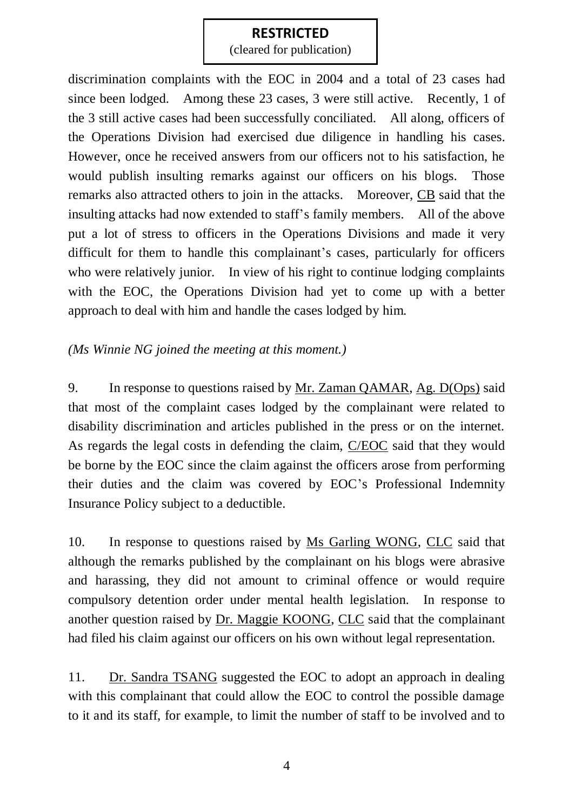(cleared for publication)

discrimination complaints with the EOC in 2004 and a total of 23 cases had since been lodged. Among these 23 cases, 3 were still active. Recently, 1 of the 3 still active cases had been successfully conciliated. All along, officers of the Operations Division had exercised due diligence in handling his cases. However, once he received answers from our officers not to his satisfaction, he would publish insulting remarks against our officers on his blogs. Those remarks also attracted others to join in the attacks. Moreover, CB said that the insulting attacks had now extended to staff's family members. All of the above put a lot of stress to officers in the Operations Divisions and made it very difficult for them to handle this complainant's cases, particularly for officers who were relatively junior. In view of his right to continue lodging complaints with the EOC, the Operations Division had yet to come up with a better approach to deal with him and handle the cases lodged by him.

*(Ms Winnie NG joined the meeting at this moment.)*

9. In response to questions raised by Mr. Zaman QAMAR, Ag. D(Ops) said that most of the complaint cases lodged by the complainant were related to disability discrimination and articles published in the press or on the internet. As regards the legal costs in defending the claim, C/EOC said that they would be borne by the EOC since the claim against the officers arose from performing their duties and the claim was covered by EOC's Professional Indemnity Insurance Policy subject to a deductible.

10. In response to questions raised by Ms Garling WONG, CLC said that although the remarks published by the complainant on his blogs were abrasive and harassing, they did not amount to criminal offence or would require compulsory detention order under mental health legislation. In response to another question raised by Dr. Maggie KOONG, CLC said that the complainant had filed his claim against our officers on his own without legal representation.

11. Dr. Sandra TSANG suggested the EOC to adopt an approach in dealing with this complainant that could allow the EOC to control the possible damage to it and its staff, for example, to limit the number of staff to be involved and to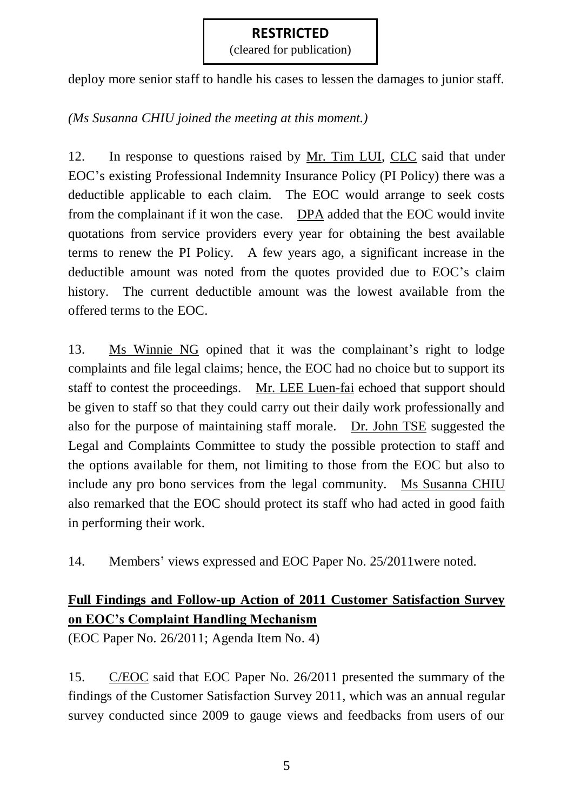(cleared for publication)

deploy more senior staff to handle his cases to lessen the damages to junior staff.

*(Ms Susanna CHIU joined the meeting at this moment.)*

12. In response to questions raised by Mr. Tim LUI, CLC said that under EOC's existing Professional Indemnity Insurance Policy (PI Policy) there was a deductible applicable to each claim. The EOC would arrange to seek costs from the complainant if it won the case. DPA added that the EOC would invite quotations from service providers every year for obtaining the best available terms to renew the PI Policy. A few years ago, a significant increase in the deductible amount was noted from the quotes provided due to EOC's claim history. The current deductible amount was the lowest available from the offered terms to the EOC.

13. Ms Winnie NG opined that it was the complainant's right to lodge complaints and file legal claims; hence, the EOC had no choice but to support its staff to contest the proceedings. Mr. LEE Luen-fai echoed that support should be given to staff so that they could carry out their daily work professionally and also for the purpose of maintaining staff morale. Dr. John TSE suggested the Legal and Complaints Committee to study the possible protection to staff and the options available for them, not limiting to those from the EOC but also to include any pro bono services from the legal community. Ms Susanna CHIU also remarked that the EOC should protect its staff who had acted in good faith in performing their work.

14. Members' views expressed and EOC Paper No. 25/2011were noted.

# **Full Findings and Follow-up Action of 2011 Customer Satisfaction Survey on EOC's Complaint Handling Mechanism**

(EOC Paper No. 26/2011; Agenda Item No. 4)

15. C/EOC said that EOC Paper No. 26/2011 presented the summary of the findings of the Customer Satisfaction Survey 2011, which was an annual regular survey conducted since 2009 to gauge views and feedbacks from users of our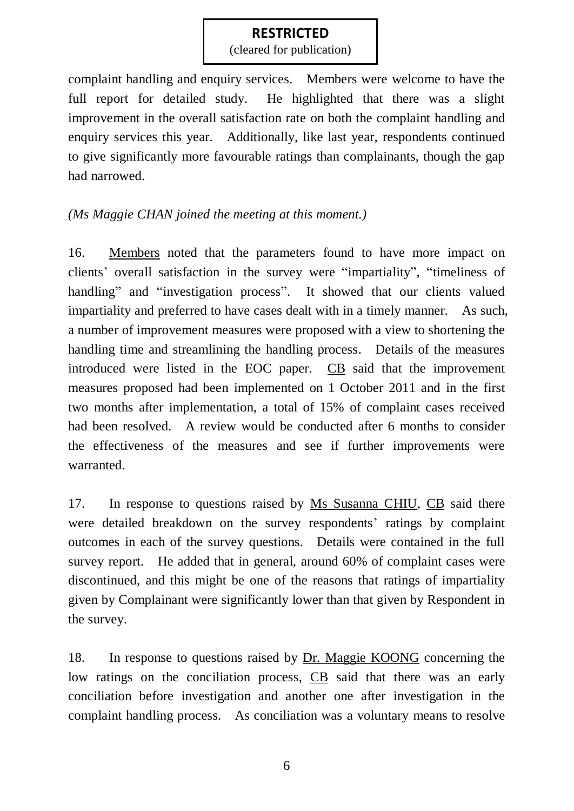(cleared for publication)

complaint handling and enquiry services. Members were welcome to have the full report for detailed study. He highlighted that there was a slight improvement in the overall satisfaction rate on both the complaint handling and enquiry services this year. Additionally, like last year, respondents continued to give significantly more favourable ratings than complainants, though the gap had narrowed.

### *(Ms Maggie CHAN joined the meeting at this moment.)*

16. Members noted that the parameters found to have more impact on clients' overall satisfaction in the survey were "impartiality", "timeliness of handling" and "investigation process". It showed that our clients valued impartiality and preferred to have cases dealt with in a timely manner. As such, a number of improvement measures were proposed with a view to shortening the handling time and streamlining the handling process. Details of the measures introduced were listed in the EOC paper. CB said that the improvement measures proposed had been implemented on 1 October 2011 and in the first two months after implementation, a total of 15% of complaint cases received had been resolved. A review would be conducted after 6 months to consider the effectiveness of the measures and see if further improvements were warranted.

17. In response to questions raised by Ms Susanna CHIU, CB said there were detailed breakdown on the survey respondents' ratings by complaint outcomes in each of the survey questions. Details were contained in the full survey report. He added that in general, around 60% of complaint cases were discontinued, and this might be one of the reasons that ratings of impartiality given by Complainant were significantly lower than that given by Respondent in the survey.

18. In response to questions raised by Dr. Maggie KOONG concerning the low ratings on the conciliation process, CB said that there was an early conciliation before investigation and another one after investigation in the complaint handling process. As conciliation was a voluntary means to resolve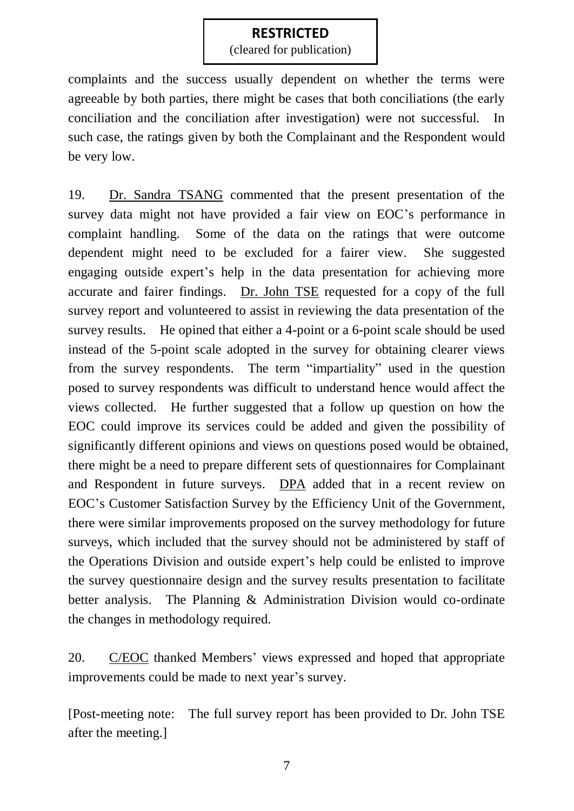(cleared for publication)

complaints and the success usually dependent on whether the terms were agreeable by both parties, there might be cases that both conciliations (the early conciliation and the conciliation after investigation) were not successful. In such case, the ratings given by both the Complainant and the Respondent would be very low.

19. Dr. Sandra TSANG commented that the present presentation of the survey data might not have provided a fair view on EOC's performance in complaint handling. Some of the data on the ratings that were outcome dependent might need to be excluded for a fairer view. She suggested engaging outside expert's help in the data presentation for achieving more accurate and fairer findings. Dr. John TSE requested for a copy of the full survey report and volunteered to assist in reviewing the data presentation of the survey results. He opined that either a 4-point or a 6-point scale should be used instead of the 5-point scale adopted in the survey for obtaining clearer views from the survey respondents. The term "impartiality" used in the question posed to survey respondents was difficult to understand hence would affect the views collected. He further suggested that a follow up question on how the EOC could improve its services could be added and given the possibility of significantly different opinions and views on questions posed would be obtained, there might be a need to prepare different sets of questionnaires for Complainant and Respondent in future surveys. DPA added that in a recent review on EOC's Customer Satisfaction Survey by the Efficiency Unit of the Government, there were similar improvements proposed on the survey methodology for future surveys, which included that the survey should not be administered by staff of the Operations Division and outside expert's help could be enlisted to improve the survey questionnaire design and the survey results presentation to facilitate better analysis. The Planning & Administration Division would co-ordinate the changes in methodology required.

20. C/EOC thanked Members' views expressed and hoped that appropriate improvements could be made to next year's survey.

[Post-meeting note: The full survey report has been provided to Dr. John TSE after the meeting.]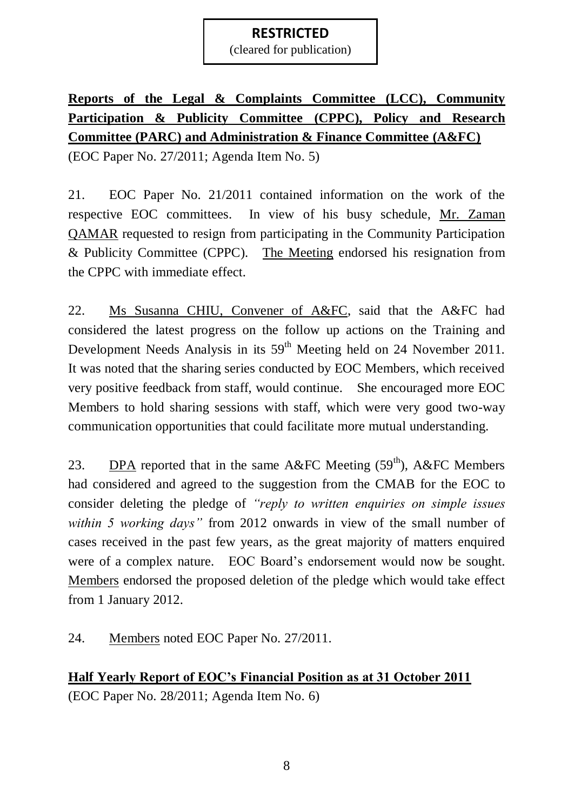(cleared for publication)

# **Reports of the Legal & Complaints Committee (LCC), Community Participation & Publicity Committee (CPPC), Policy and Research Committee (PARC) and Administration & Finance Committee (A&FC)**

(EOC Paper No. 27/2011; Agenda Item No. 5)

21. EOC Paper No. 21/2011 contained information on the work of the respective EOC committees. In view of his busy schedule, Mr. Zaman QAMAR requested to resign from participating in the Community Participation & Publicity Committee (CPPC). The Meeting endorsed his resignation from the CPPC with immediate effect.

22. Ms Susanna CHIU, Convener of A&FC, said that the A&FC had considered the latest progress on the follow up actions on the Training and Development Needs Analysis in its 59<sup>th</sup> Meeting held on 24 November 2011. It was noted that the sharing series conducted by EOC Members, which received very positive feedback from staff, would continue. She encouraged more EOC Members to hold sharing sessions with staff, which were very good two-way communication opportunities that could facilitate more mutual understanding.

23. DPA reported that in the same A&FC Meeting  $(59<sup>th</sup>)$ , A&FC Members had considered and agreed to the suggestion from the CMAB for the EOC to consider deleting the pledge of *"reply to written enquiries on simple issues within 5 working days"* from 2012 onwards in view of the small number of cases received in the past few years, as the great majority of matters enquired were of a complex nature. EOC Board's endorsement would now be sought. Members endorsed the proposed deletion of the pledge which would take effect from 1 January 2012.

24. Members noted EOC Paper No. 27/2011.

**Half Yearly Report of EOC's Financial Position as at 31 October 2011** (EOC Paper No. 28/2011; Agenda Item No. 6)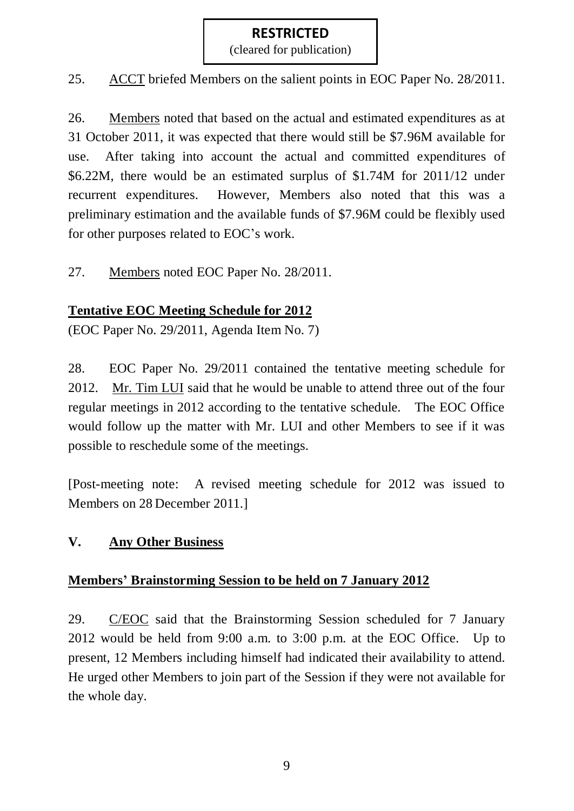(cleared for publication)

25. ACCT briefed Members on the salient points in EOC Paper No. 28/2011.

26. Members noted that based on the actual and estimated expenditures as at 31 October 2011, it was expected that there would still be \$7.96M available for use. After taking into account the actual and committed expenditures of \$6.22M, there would be an estimated surplus of \$1.74M for 2011/12 under recurrent expenditures. However, Members also noted that this was a preliminary estimation and the available funds of \$7.96M could be flexibly used for other purposes related to EOC's work.

27. Members noted EOC Paper No. 28/2011.

# **Tentative EOC Meeting Schedule for 2012**

(EOC Paper No. 29/2011, Agenda Item No. 7)

28. EOC Paper No. 29/2011 contained the tentative meeting schedule for 2012. Mr. Tim LUI said that he would be unable to attend three out of the four regular meetings in 2012 according to the tentative schedule. The EOC Office would follow up the matter with Mr. LUI and other Members to see if it was possible to reschedule some of the meetings.

[Post-meeting note: A revised meeting schedule for 2012 was issued to Members on 28 December 2011.]

### **V. Any Other Business**

### **Members' Brainstorming Session to be held on 7 January 2012**

29. C/EOC said that the Brainstorming Session scheduled for 7 January 2012 would be held from 9:00 a.m. to 3:00 p.m. at the EOC Office. Up to present, 12 Members including himself had indicated their availability to attend. He urged other Members to join part of the Session if they were not available for the whole day.